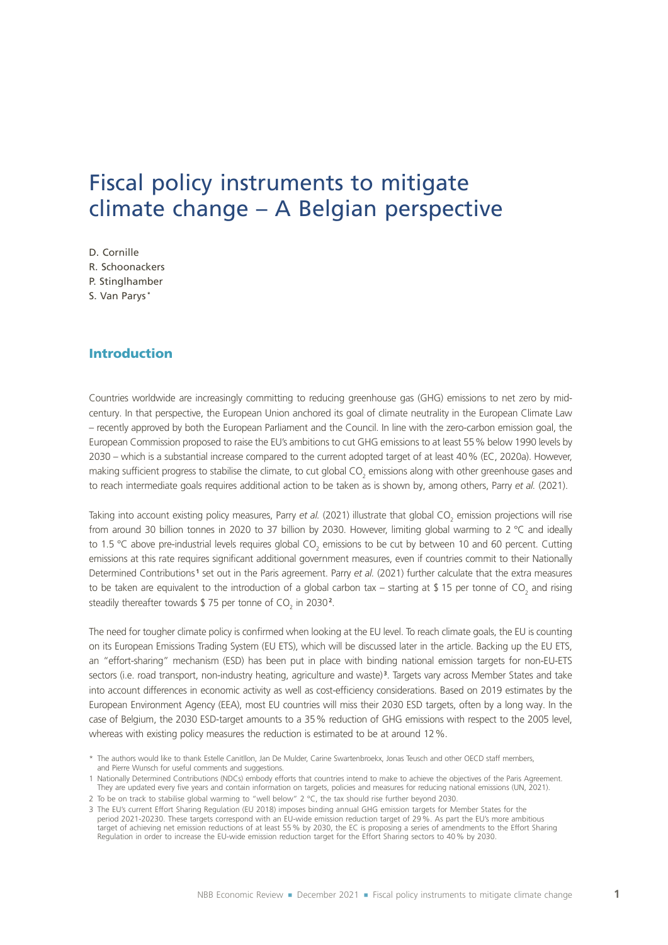# Fiscal policy instruments to mitigate climate change – A Belgian perspective

- D. Cornille
- R. Schoonackers
- P. Stinglhamber
- S. Van Parys **\***

# Introduction

Countries worldwide are increasingly committing to reducing greenhouse gas (GHG) emissions to net zero by midcentury. In that perspective, the European Union anchored its goal of climate neutrality in the European Climate Law – recently approved by both the European Parliament and the Council. In line with the zero-carbon emission goal, the European Commission proposed to raise the EU's ambitions to cut GHG emissions to at least 55% below 1990 levels by 2030 – which is a substantial increase compared to the current adopted target of at least 40% (EC, 2020a). However, making sufficient progress to stabilise the climate, to cut global CO<sub>2</sub> emissions along with other greenhouse gases and to reach intermediate goals requires additional action to be taken as is shown by, among others, Parry *et al.* (2021).

Taking into account existing policy measures, Parry et al. (2021) illustrate that global CO<sub>2</sub> emission projections will rise from around 30 billion tonnes in 2020 to 37 billion by 2030. However, limiting global warming to 2 °C and ideally to 1.5 °C above pre-industrial levels requires global CO<sub>2</sub> emissions to be cut by between 10 and 60 percent. Cutting emissions at this rate requires significant additional government measures, even if countries commit to their Nationally Determined Contributions<sup>1</sup> set out in the Paris agreement. Parry *et al.* (2021) further calculate that the extra measures to be taken are equivalent to the introduction of a global carbon tax – starting at \$ 15 per tonne of CO<sub>2</sub> and rising steadily thereafter towards  $$75$  per tonne of CO<sub>2</sub> in 2030<sup>2</sup>.

The need for tougher climate policy is confirmed when looking at the EU level. To reach climate goals, the EU is counting on its European Emissions Trading System (EU ETS), which will be discussed later in the article. Backing up the EU ETS, an "effort-sharing" mechanism (ESD) has been put in place with binding national emission targets for non-EU-ETS sectors (i.e. road transport, non-industry heating, agriculture and waste) **<sup>3</sup>** . Targets vary across Member States and take into account differences in economic activity as well as cost-efficiency considerations. Based on 2019 estimates by the European Environment Agency (EEA), most EU countries will miss their 2030 ESD targets, often by a long way. In the case of Belgium, the 2030 ESD-target amounts to a 35% reduction of GHG emissions with respect to the 2005 level, whereas with existing policy measures the reduction is estimated to be at around 12%.

<sup>\*</sup> The authors would like to thank Estelle Canitllon, Jan De Mulder, Carine Swartenbroekx, Jonas Teusch and other OECD staff members, and Pierre Wunsch for useful comments and suggestions.

<sup>1</sup> Nationally Determined Contributions (NDCs) embody efforts that countries intend to make to achieve the objectives of the Paris Agreement. They are updated every five years and contain information on targets, policies and measures for reducing national emissions (UN, 2021).

<sup>2</sup> To be on track to stabilise global warming to "well below" 2 °C, the tax should rise further beyond 2030.

<sup>3</sup> The EU's current Effort Sharing Regulation (EU 2018) imposes binding annual GHG emission targets for Member States for the period 2021-20230. These targets correspond with an EU-wide emission reduction target of 29%. As part the EU's more ambitious target of achieving net emission reductions of at least 55% by 2030, the EC is proposing a series of amendments to the Effort Sharing Regulation in order to increase the EU-wide emission reduction target for the Effort Sharing sectors to 40% by 2030.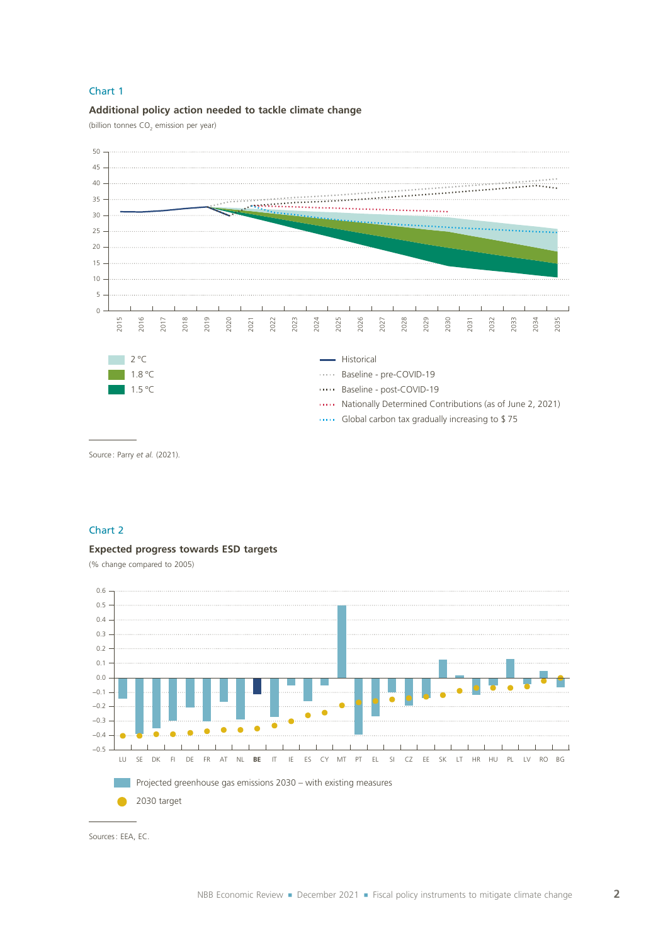### **Additional policy action needed to tackle climate change**

(billion tonnes  $CO<sub>2</sub>$  emission per year)



Source : Parry *et al.* (2021).

### Chart 2

#### **Expected progress towards ESD targets**

(% change compared to 2005)



Sources: EEA, EC.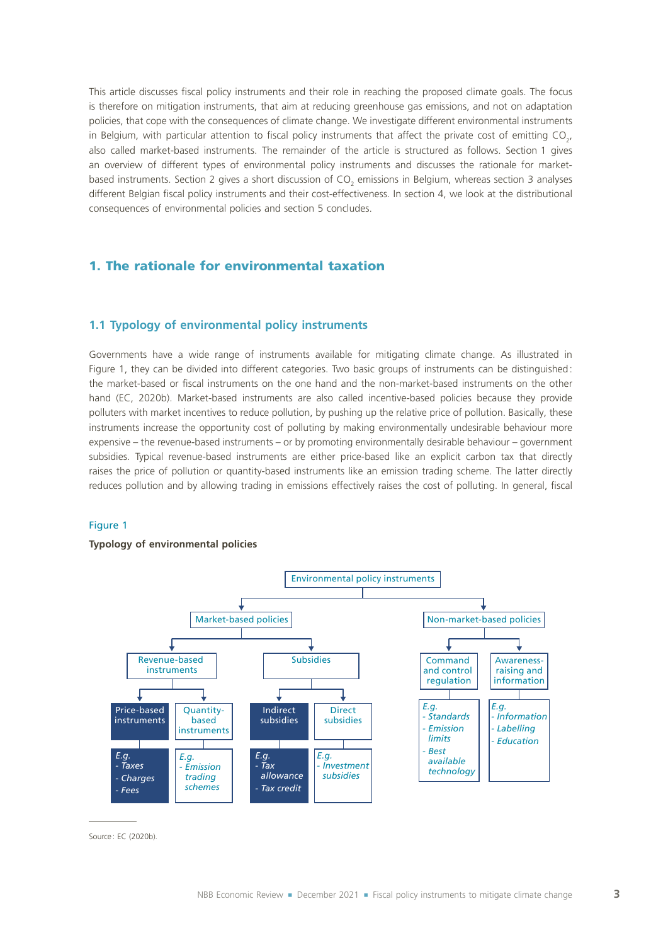This article discusses fiscal policy instruments and their role in reaching the proposed climate goals. The focus is therefore on mitigation instruments, that aim at reducing greenhouse gas emissions, and not on adaptation policies, that cope with the consequences of climate change. We investigate different environmental instruments in Belgium, with particular attention to fiscal policy instruments that affect the private cost of emitting CO<sub>2</sub>, also called market-based instruments. The remainder of the article is structured as follows. Section 1 gives an overview of different types of environmental policy instruments and discusses the rationale for marketbased instruments. Section 2 gives a short discussion of CO<sub>2</sub> emissions in Belgium, whereas section 3 analyses different Belgian fiscal policy instruments and their cost-effectiveness. In section 4, we look at the distributional consequences of environmental policies and section 5 concludes.

# 1. The rationale for environmental taxation

# **1.1 Typology of environmental policy instruments**

Governments have a wide range of instruments available for mitigating climate change. As illustrated in Figure 1, they can be divided into different categories. Two basic groups of instruments can be distinguished: the market-based or fiscal instruments on the one hand and the non-market-based instruments on the other hand (EC, 2020b). Market-based instruments are also called incentive-based policies because they provide polluters with market incentives to reduce pollution, by pushing up the relative price of pollution. Basically, these instruments increase the opportunity cost of polluting by making environmentally undesirable behaviour more expensive – the revenue-based instruments – or by promoting environmentally desirable behaviour – government subsidies. Typical revenue-based instruments are either price-based like an explicit carbon tax that directly raises the price of pollution or quantity-based instruments like an emission trading scheme. The latter directly reduces pollution and by allowing trading in emissions effectively raises the cost of polluting. In general, fiscal

#### Figure 1

#### **Typology of environmental policies**



Source : EC (2020b).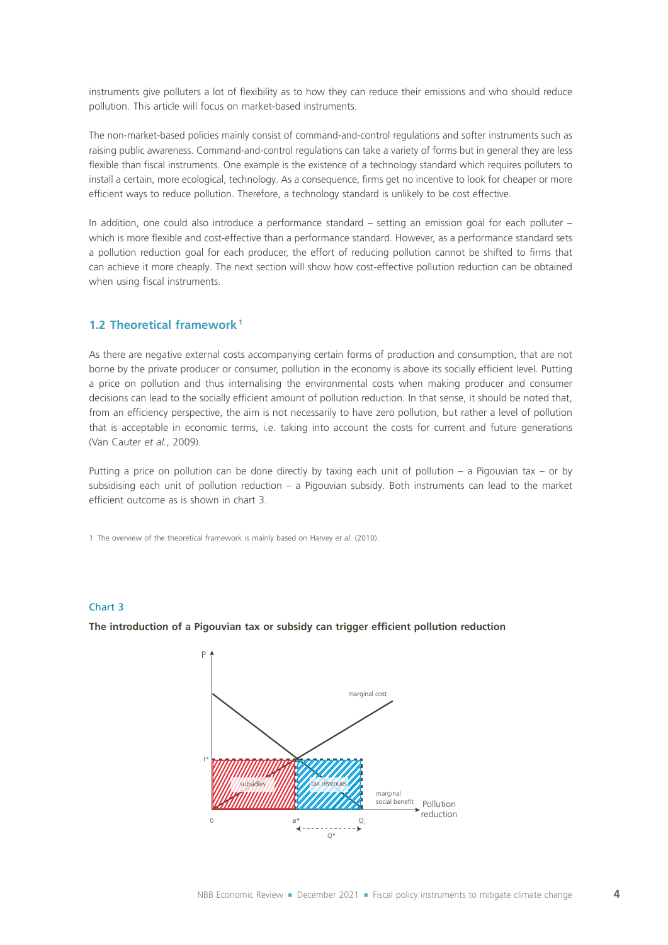instruments give polluters a lot of flexibility as to how they can reduce their emissions and who should reduce pollution. This article will focus on market-based instruments.

The non-market-based policies mainly consist of command-and-control regulations and softer instruments such as raising public awareness. Command-and-control regulations can take a variety of forms but in general they are less flexible than fiscal instruments. One example is the existence of a technology standard which requires polluters to install a certain, more ecological, technology. As a consequence, firms get no incentive to look for cheaper or more efficient ways to reduce pollution. Therefore, a technology standard is unlikely to be cost effective.

In addition, one could also introduce a performance standard – setting an emission goal for each polluter – which is more flexible and cost-effective than a performance standard. However, as a performance standard sets a pollution reduction goal for each producer, the effort of reducing pollution cannot be shifted to firms that can achieve it more cheaply. The next section will show how cost-effective pollution reduction can be obtained when using fiscal instruments.

### **1.2 Theoretical framework <sup>1</sup>**

As there are negative external costs accompanying certain forms of production and consumption, that are not borne by the private producer or consumer, pollution in the economy is above its socially efficient level. Putting a price on pollution and thus internalising the environmental costs when making producer and consumer decisions can lead to the socially efficient amount of pollution reduction. In that sense, it should be noted that, from an efficiency perspective, the aim is not necessarily to have zero pollution, but rather a level of pollution that is acceptable in economic terms, i.e. taking into account the costs for current and future generations (Van Cauter *et al.*, 2009).

Putting a price on pollution can be done directly by taxing each unit of pollution – a Pigouvian tax – or by subsidising each unit of pollution reduction – a Pigouvian subsidy. Both instruments can lead to the market efficient outcome as is shown in chart 3.

1 The overview of the theoretical framework is mainly based on Harvey *et al.* (2010).

### Chart 3

**The introduction of a Pigouvian tax or subsidy can trigger efficient pollution reduction**

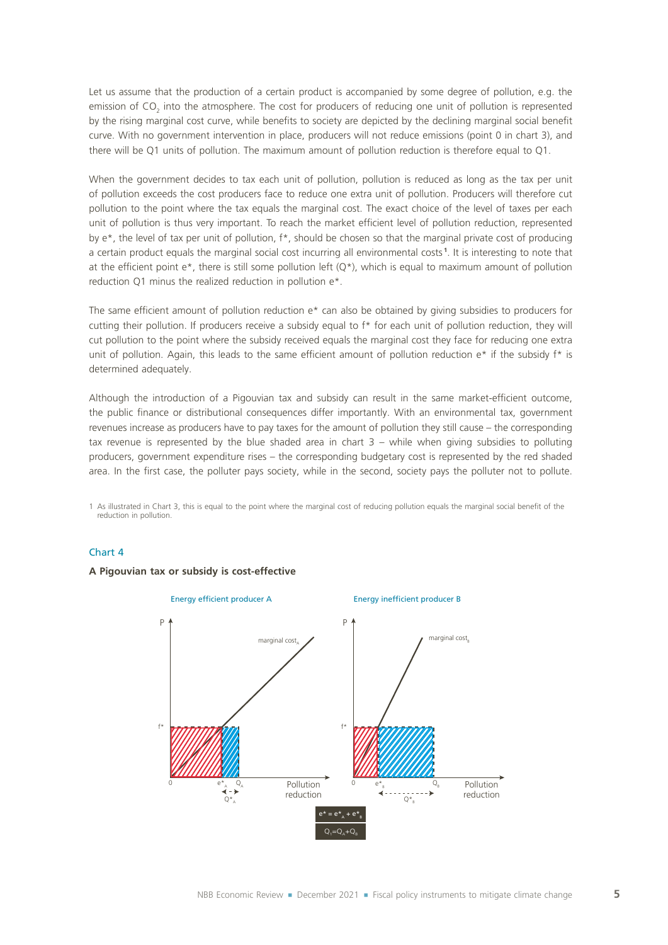Let us assume that the production of a certain product is accompanied by some degree of pollution, e.g. the emission of CO<sub>2</sub> into the atmosphere. The cost for producers of reducing one unit of pollution is represented by the rising marginal cost curve, while benefits to society are depicted by the declining marginal social benefit curve. With no government intervention in place, producers will not reduce emissions (point 0 in chart 3), and there will be Q1 units of pollution. The maximum amount of pollution reduction is therefore equal to Q1.

When the government decides to tax each unit of pollution, pollution is reduced as long as the tax per unit of pollution exceeds the cost producers face to reduce one extra unit of pollution. Producers will therefore cut pollution to the point where the tax equals the marginal cost. The exact choice of the level of taxes per each unit of pollution is thus very important. To reach the market efficient level of pollution reduction, represented by e<sup>\*</sup>, the level of tax per unit of pollution, f<sup>\*</sup>, should be chosen so that the marginal private cost of producing a certain product equals the marginal social cost incurring all environmental costs **<sup>1</sup>** . It is interesting to note that at the efficient point e\*, there is still some pollution left (Q\*), which is equal to maximum amount of pollution reduction Q1 minus the realized reduction in pollution e\*.

The same efficient amount of pollution reduction e\* can also be obtained by giving subsidies to producers for cutting their pollution. If producers receive a subsidy equal to f\* for each unit of pollution reduction, they will cut pollution to the point where the subsidy received equals the marginal cost they face for reducing one extra unit of pollution. Again, this leads to the same efficient amount of pollution reduction e\* if the subsidy f\* is determined adequately.

Although the introduction of a Pigouvian tax and subsidy can result in the same market-efficient outcome, the public finance or distributional consequences differ importantly. With an environmental tax, government revenues increase as producers have to pay taxes for the amount of pollution they still cause – the corresponding tax revenue is represented by the blue shaded area in chart  $3$  – while when giving subsidies to polluting producers, government expenditure rises – the corresponding budgetary cost is represented by the red shaded area. In the first case, the polluter pays society, while in the second, society pays the polluter not to pollute.

1 As illustrated in Chart 3, this is equal to the point where the marginal cost of reducing pollution equals the marginal social benefit of the reduction in pollution.

### Chart 4

### **A Pigouvian tax or subsidy is cost-effective**

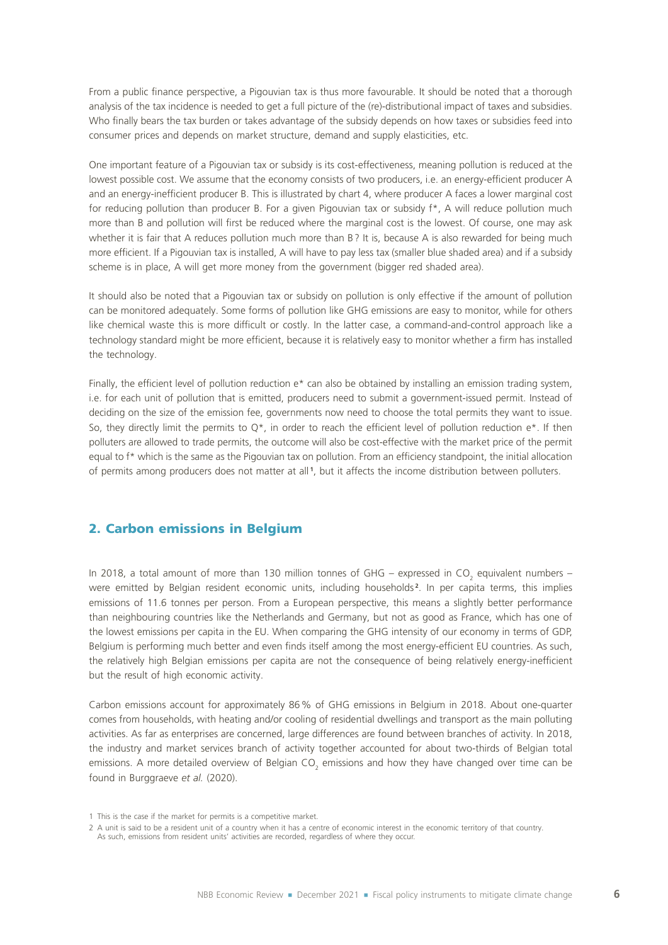From a public finance perspective, a Pigouvian tax is thus more favourable. It should be noted that a thorough analysis of the tax incidence is needed to get a full picture of the (re)-distributional impact of taxes and subsidies. Who finally bears the tax burden or takes advantage of the subsidy depends on how taxes or subsidies feed into consumer prices and depends on market structure, demand and supply elasticities, etc.

One important feature of a Pigouvian tax or subsidy is its cost-effectiveness, meaning pollution is reduced at the lowest possible cost. We assume that the economy consists of two producers, i.e. an energy-efficient producer A and an energy-inefficient producer B. This is illustrated by chart 4, where producer A faces a lower marginal cost for reducing pollution than producer B. For a given Pigouvian tax or subsidy f\*, A will reduce pollution much more than B and pollution will first be reduced where the marginal cost is the lowest. Of course, one may ask whether it is fair that A reduces pollution much more than B? It is, because A is also rewarded for being much more efficient. If a Pigouvian tax is installed, A will have to pay less tax (smaller blue shaded area) and if a subsidy scheme is in place, A will get more money from the government (bigger red shaded area).

It should also be noted that a Pigouvian tax or subsidy on pollution is only effective if the amount of pollution can be monitored adequately. Some forms of pollution like GHG emissions are easy to monitor, while for others like chemical waste this is more difficult or costly. In the latter case, a command-and-control approach like a technology standard might be more efficient, because it is relatively easy to monitor whether a firm has installed the technology.

Finally, the efficient level of pollution reduction e\* can also be obtained by installing an emission trading system, i.e. for each unit of pollution that is emitted, producers need to submit a government-issued permit. Instead of deciding on the size of the emission fee, governments now need to choose the total permits they want to issue. So, they directly limit the permits to  $Q^*$ , in order to reach the efficient level of pollution reduction e<sup>\*</sup>. If then polluters are allowed to trade permits, the outcome will also be cost-effective with the market price of the permit equal to f\* which is the same as the Pigouvian tax on pollution. From an efficiency standpoint, the initial allocation of permits among producers does not matter at all **<sup>1</sup>** , but it affects the income distribution between polluters.

# 2. Carbon emissions in Belgium

In 2018, a total amount of more than 130 million tonnes of GHG – expressed in CO<sub>2</sub> equivalent numbers – were emitted by Belgian resident economic units, including households<sup>2</sup>. In per capita terms, this implies emissions of 11.6 tonnes per person. From a European perspective, this means a slightly better performance than neighbouring countries like the Netherlands and Germany, but not as good as France, which has one of the lowest emissions per capita in the EU. When comparing the GHG intensity of our economy in terms of GDP, Belgium is performing much better and even finds itself among the most energy-efficient EU countries. As such, the relatively high Belgian emissions per capita are not the consequence of being relatively energy-inefficient but the result of high economic activity.

Carbon emissions account for approximately 86% of GHG emissions in Belgium in 2018. About one-quarter comes from households, with heating and/or cooling of residential dwellings and transport as the main polluting activities. As far as enterprises are concerned, large differences are found between branches of activity. In 2018, the industry and market services branch of activity together accounted for about two-thirds of Belgian total emissions. A more detailed overview of Belgian CO<sub>2</sub> emissions and how they have changed over time can be found in Burggraeve *et al.* (2020).

<sup>1</sup> This is the case if the market for permits is a competitive market.

<sup>2</sup> A unit is said to be a resident unit of a country when it has a centre of economic interest in the economic territory of that country. As such, emissions from resident units' activities are recorded, regardless of where they occur.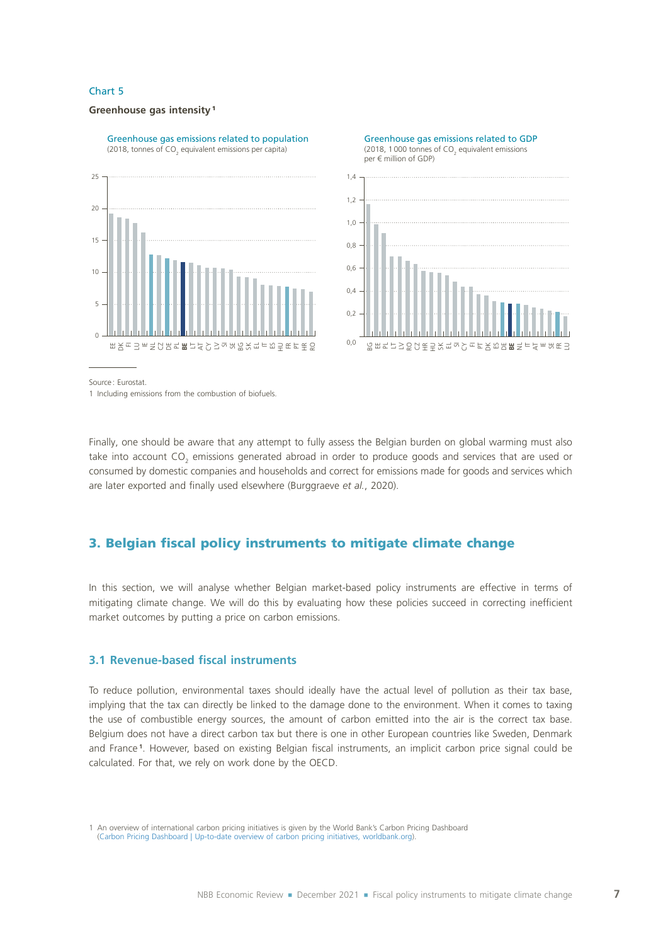#### **Greenhouse gas intensity** <sup>1</sup>



(2018, tonnes of CO<sub>2</sub> equivalent emissions per capita)



Source : Eurostat.

1 Including emissions from the combustion of biofuels.

Finally, one should be aware that any attempt to fully assess the Belgian burden on global warming must also take into account CO<sub>2</sub> emissions generated abroad in order to produce goods and services that are used or consumed by domestic companies and households and correct for emissions made for goods and services which are later exported and finally used elsewhere (Burggraeve *et al.*, 2020).

# 3. Belgian fiscal policy instruments to mitigate climate change

In this section, we will analyse whether Belgian market-based policy instruments are effective in terms of mitigating climate change. We will do this by evaluating how these policies succeed in correcting inefficient market outcomes by putting a price on carbon emissions.

# **3.1 Revenue-based fiscal instruments**

To reduce pollution, environmental taxes should ideally have the actual level of pollution as their tax base, implying that the tax can directly be linked to the damage done to the environment. When it comes to taxing the use of combustible energy sources, the amount of carbon emitted into the air is the correct tax base. Belgium does not have a direct carbon tax but there is one in other European countries like Sweden, Denmark and France **<sup>1</sup>** . However, based on existing Belgian fiscal instruments, an implicit carbon price signal could be calculated. For that, we rely on work done by the OECD.

1 An overview of international carbon pricing initiatives is given by the World Bank's Carbon Pricing Dashboard ([Carbon Pricing Dashboard | Up-to-date overview of carbon pricing initiatives, worldbank.org](https://carbonpricingdashboard.worldbank.org/map_data)).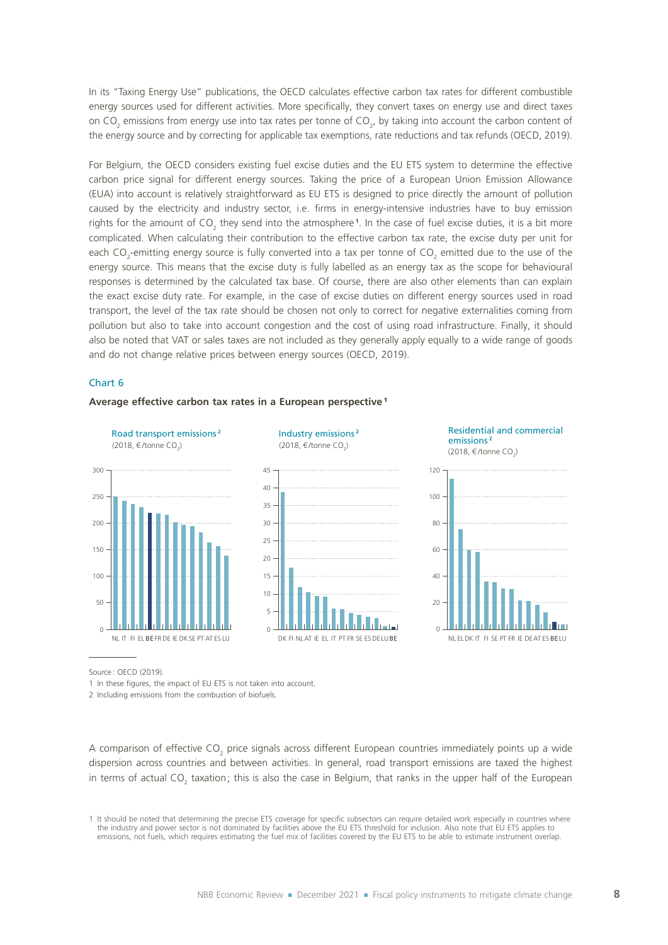In its "Taxing Energy Use" publications, the OECD calculates effective carbon tax rates for different combustible energy sources used for different activities. More specifically, they convert taxes on energy use and direct taxes on CO<sub>2</sub> emissions from energy use into tax rates per tonne of CO<sub>2</sub>, by taking into account the carbon content of the energy source and by correcting for applicable tax exemptions, rate reductions and tax refunds (OECD, 2019).

For Belgium, the OECD considers existing fuel excise duties and the EU ETS system to determine the effective carbon price signal for different energy sources. Taking the price of a European Union Emission Allowance (EUA) into account is relatively straightforward as EU ETS is designed to price directly the amount of pollution caused by the electricity and industry sector, i.e. firms in energy-intensive industries have to buy emission rights for the amount of CO<sub>2</sub> they send into the atmosphere<sup>1</sup>. In the case of fuel excise duties, it is a bit more complicated. When calculating their contribution to the effective carbon tax rate, the excise duty per unit for each CO<sub>2</sub>-emitting energy source is fully converted into a tax per tonne of CO<sub>2</sub> emitted due to the use of the energy source. This means that the excise duty is fully labelled as an energy tax as the scope for behavioural responses is determined by the calculated tax base. Of course, there are also other elements than can explain the exact excise duty rate. For example, in the case of excise duties on different energy sources used in road transport, the level of the tax rate should be chosen not only to correct for negative externalities coming from pollution but also to take into account congestion and the cost of using road infrastructure. Finally, it should also be noted that VAT or sales taxes are not included as they generally apply equally to a wide range of goods and do not change relative prices between energy sources (OECD, 2019).

#### Chart 6



#### **Average effective carbon tax rates in a European perspective** <sup>1</sup>

Source: OECD (2019).

1 In these figures, the impact of EU ETS is not taken into account.

2 Including emissions from the combustion of biofuels.

A comparison of effective CO<sub>2</sub> price signals across different European countries immediately points up a wide dispersion across countries and between activities. In general, road transport emissions are taxed the highest in terms of actual CO<sub>2</sub> taxation; this is also the case in Belgium, that ranks in the upper half of the European

1 It should be noted that determining the precise ETS coverage for specific subsectors can require detailed work especially in countries where the industry and power sector is not dominated by facilities above the EU ETS threshold for inclusion. Also note that EU ETS applies to emissions, not fuels, which requires estimating the fuel mix of facilities covered by the EU ETS to be able to estimate instrument overlap.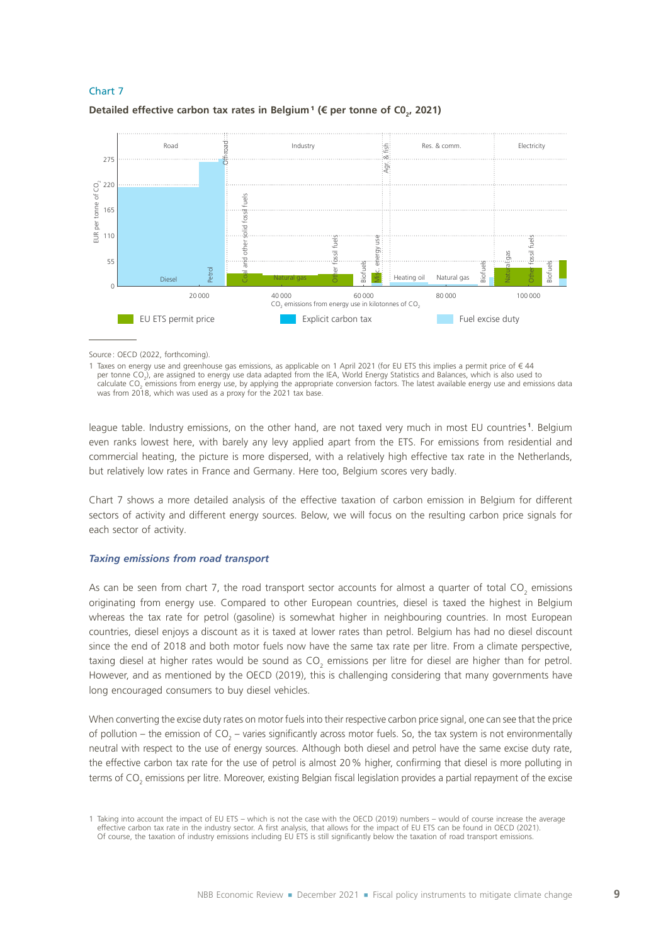

# **Detailed effective carbon tax rates in Belgium<sup>1</sup> (€ per tonne of C0<sub>2</sub>, 2021)**

Source: OECD (2022, forthcoming).

1 Taxes on energy use and greenhouse gas emissions, as applicable on 1 April 2021 (for EU ETS this implies a permit price of € 44 per tonne CO<sub>2</sub>), are assigned to energy use data adapted from the IEA, World Energy Statistics and Balances, which is also used to calculate CO<sub>2</sub> emissions from energy use, by applying the appropriate conversion factors. The latest available energy use and emissions data was from 2018, which was used as a proxy for the 2021 tax base.

league table. Industry emissions, on the other hand, are not taxed very much in most EU countries **<sup>1</sup>** . Belgium even ranks lowest here, with barely any levy applied apart from the ETS. For emissions from residential and commercial heating, the picture is more dispersed, with a relatively high effective tax rate in the Netherlands, but relatively low rates in France and Germany. Here too, Belgium scores very badly.

Chart 7 shows a more detailed analysis of the effective taxation of carbon emission in Belgium for different sectors of activity and different energy sources. Below, we will focus on the resulting carbon price signals for each sector of activity.

### *Taxing emissions from road transport*

As can be seen from chart 7, the road transport sector accounts for almost a quarter of total CO<sub>2</sub> emissions originating from energy use. Compared to other European countries, diesel is taxed the highest in Belgium whereas the tax rate for petrol (gasoline) is somewhat higher in neighbouring countries. In most European countries, diesel enjoys a discount as it is taxed at lower rates than petrol. Belgium has had no diesel discount since the end of 2018 and both motor fuels now have the same tax rate per litre. From a climate perspective, taxing diesel at higher rates would be sound as CO<sub>2</sub> emissions per litre for diesel are higher than for petrol. However, and as mentioned by the OECD (2019), this is challenging considering that many governments have long encouraged consumers to buy diesel vehicles.

When converting the excise duty rates on motor fuels into their respective carbon price signal, one can see that the price of pollution – the emission of CO<sub>2</sub> – varies significantly across motor fuels. So, the tax system is not environmentally neutral with respect to the use of energy sources. Although both diesel and petrol have the same excise duty rate, the effective carbon tax rate for the use of petrol is almost 20% higher, confirming that diesel is more polluting in terms of CO<sub>2</sub> emissions per litre. Moreover, existing Belgian fiscal legislation provides a partial repayment of the excise

<sup>1</sup> Taking into account the impact of EU ETS – which is not the case with the OECD (2019) numbers – would of course increase the average effective carbon tax rate in the industry sector. A first analysis, that allows for the impact of EU ETS can be found in OECD (2021). Of course, the taxation of industry emissions including EU ETS is still significantly below the taxation of road transport emissions.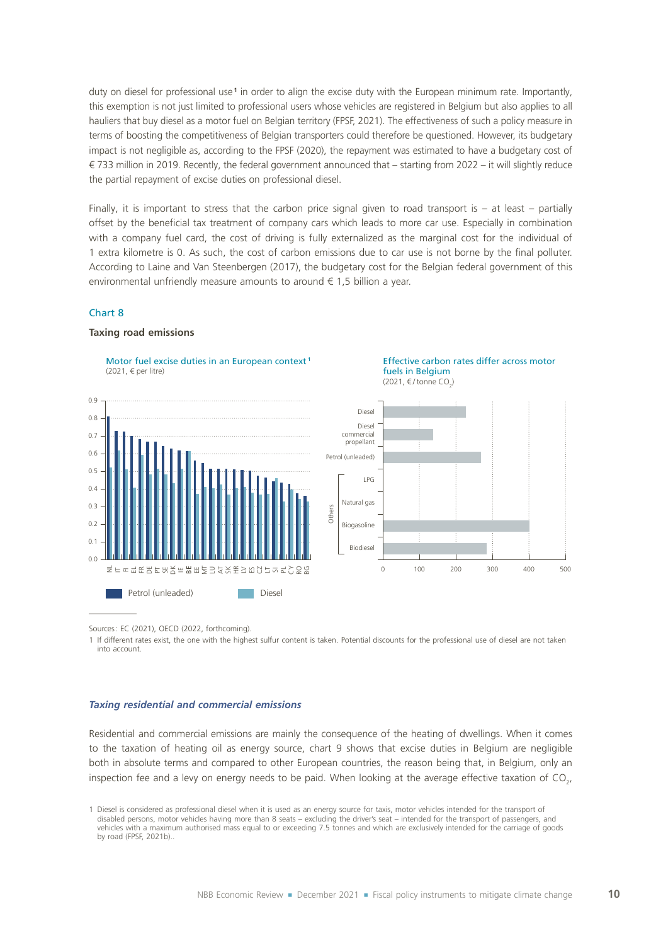duty on diesel for professional use<sup>1</sup> in order to align the excise duty with the European minimum rate. Importantly, this exemption is not just limited to professional users whose vehicles are registered in Belgium but also applies to all hauliers that buy diesel as a motor fuel on Belgian territory (FPSF, 2021). The effectiveness of such a policy measure in terms of boosting the competitiveness of Belgian transporters could therefore be questioned. However, its budgetary impact is not negligible as, according to the FPSF (2020), the repayment was estimated to have a budgetary cost of € 733 million in 2019. Recently, the federal government announced that – starting from 2022 – it will slightly reduce the partial repayment of excise duties on professional diesel.

Finally, it is important to stress that the carbon price signal given to road transport is  $-$  at least  $-$  partially offset by the beneficial tax treatment of company cars which leads to more car use. Especially in combination with a company fuel card, the cost of driving is fully externalized as the marginal cost for the individual of 1 extra kilometre is 0. As such, the cost of carbon emissions due to car use is not borne by the final polluter. According to Laine and Van Steenbergen (2017), the budgetary cost for the Belgian federal government of this environmental unfriendly measure amounts to around  $\epsilon$  1,5 billion a year.

### Chart 8

#### **Taxing road emissions**





Sources: EC (2021), OECD (2022, forthcoming).

1 If different rates exist, the one with the highest sulfur content is taken. Potential discounts for the professional use of diesel are not taken into account.

#### *Taxing residential and commercial emissions*

Residential and commercial emissions are mainly the consequence of the heating of dwellings. When it comes to the taxation of heating oil as energy source, chart 9 shows that excise duties in Belgium are negligible both in absolute terms and compared to other European countries, the reason being that, in Belgium, only an inspection fee and a levy on energy needs to be paid. When looking at the average effective taxation of CO<sub>2</sub>,

<sup>1</sup> Diesel is considered as professional diesel when it is used as an energy source for taxis, motor vehicles intended for the transport of disabled persons, motor vehicles having more than 8 seats – excluding the driver's seat – intended for the transport of passengers, and vehicles with a maximum authorised mass equal to or exceeding 7.5 tonnes and which are exclusively intended for the carriage of goods by road (FPSF, 2021b).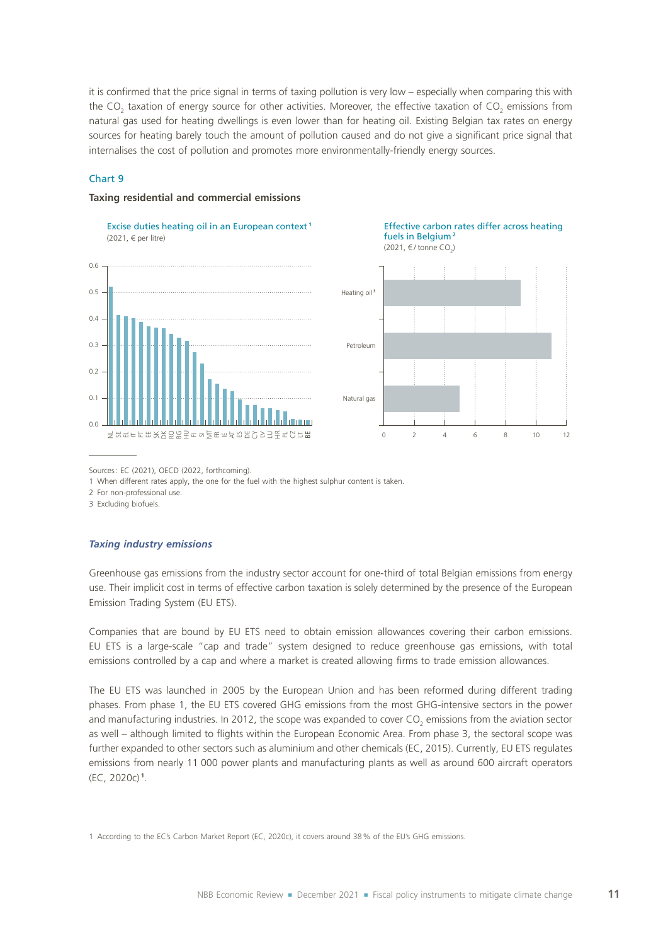it is confirmed that the price signal in terms of taxing pollution is very low – especially when comparing this with the CO<sub>2</sub> taxation of energy source for other activities. Moreover, the effective taxation of CO<sub>2</sub> emissions from natural gas used for heating dwellings is even lower than for heating oil. Existing Belgian tax rates on energy sources for heating barely touch the amount of pollution caused and do not give a significant price signal that internalises the cost of pollution and promotes more environmentally-friendly energy sources.

### Chart 9

#### **Taxing residential and commercial emissions**

Excise duties heating oil in an European context **<sup>1</sup>** (2021, € per litre)



#### Effective carbon rates differ across heating fuels in Belgium **<sup>2</sup>** (2021, €/ tonne CO<sub>2</sub>)



#### Sources: EC (2021), OECD (2022, forthcoming).

1 When different rates apply, the one for the fuel with the highest sulphur content is taken.

2 For non-professional use.

3 Excluding biofuels.

#### *Taxing industry emissions*

Greenhouse gas emissions from the industry sector account for one-third of total Belgian emissions from energy use. Their implicit cost in terms of effective carbon taxation is solely determined by the presence of the European Emission Trading System (EU ETS).

Companies that are bound by EU ETS need to obtain emission allowances covering their carbon emissions. EU ETS is a large-scale "cap and trade" system designed to reduce greenhouse gas emissions, with total emissions controlled by a cap and where a market is created allowing firms to trade emission allowances.

The EU ETS was launched in 2005 by the European Union and has been reformed during different trading phases. From phase 1, the EU ETS covered GHG emissions from the most GHG-intensive sectors in the power and manufacturing industries. In 2012, the scope was expanded to cover CO<sub>2</sub> emissions from the aviation sector as well – although limited to flights within the European Economic Area. From phase 3, the sectoral scope was further expanded to other sectors such as aluminium and other chemicals (EC, 2015). Currently, EU ETS regulates emissions from nearly 11 000 power plants and manufacturing plants as well as around 600 aircraft operators (EC, 2020c) **<sup>1</sup>** .

1 According to the EC's Carbon Market Report (EC, 2020c), it covers around 38% of the EU's GHG emissions.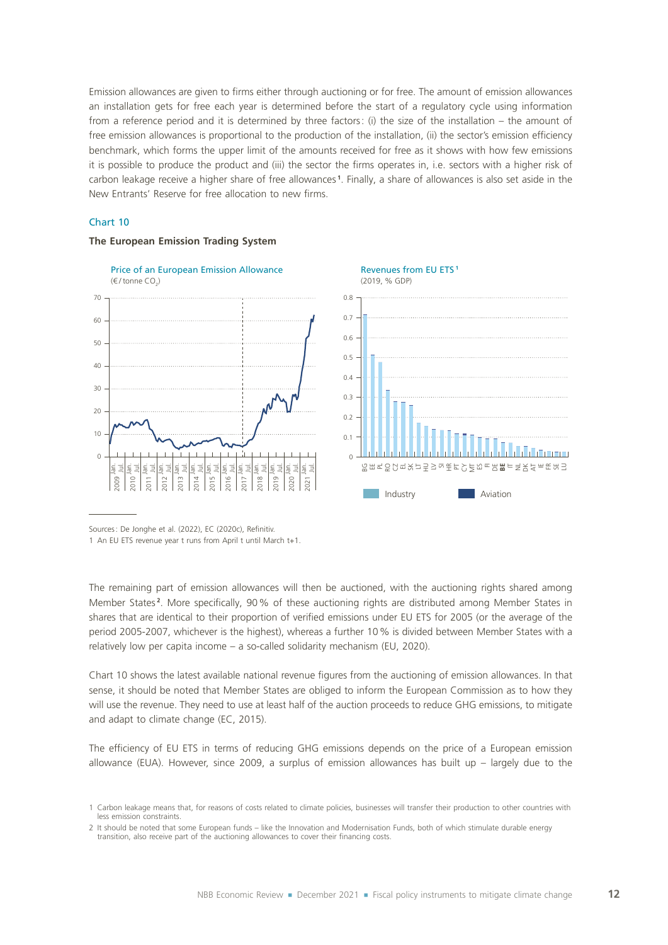Emission allowances are given to firms either through auctioning or for free. The amount of emission allowances an installation gets for free each year is determined before the start of a regulatory cycle using information from a reference period and it is determined by three factors: (i) the size of the installation – the amount of free emission allowances is proportional to the production of the installation, (ii) the sector's emission efficiency benchmark, which forms the upper limit of the amounts received for free as it shows with how few emissions it is possible to produce the product and (iii) the sector the firms operates in, i.e. sectors with a higher risk of carbon leakage receive a higher share of free allowances **<sup>1</sup>** . Finally, a share of allowances is also set aside in the New Entrants' Reserve for free allocation to new firms.

### Chart 10



### **The European Emission Trading System**

Sources: De Jonghe et al. (2022), EC (2020c), Refinitiv.

1 An EU ETS revenue year t runs from April t until March t+1.

The remaining part of emission allowances will then be auctioned, with the auctioning rights shared among Member States **<sup>2</sup>** . More specifically, 90% of these auctioning rights are distributed among Member States in shares that are identical to their proportion of verified emissions under EU ETS for 2005 (or the average of the period 2005-2007, whichever is the highest), whereas a further 10% is divided between Member States with a relatively low per capita income – a so-called solidarity mechanism (EU, 2020).

Chart 10 shows the latest available national revenue figures from the auctioning of emission allowances. In that sense, it should be noted that Member States are obliged to inform the European Commission as to how they will use the revenue. They need to use at least half of the auction proceeds to reduce GHG emissions, to mitigate and adapt to climate change (EC, 2015).

The efficiency of EU ETS in terms of reducing GHG emissions depends on the price of a European emission allowance (EUA). However, since 2009, a surplus of emission allowances has built up – largely due to the

<sup>1</sup> Carbon leakage means that, for reasons of costs related to climate policies, businesses will transfer their production to other countries with less emission constraints.

<sup>2</sup> It should be noted that some European funds – like the Innovation and Modernisation Funds, both of which stimulate durable energy transition, also receive part of the auctioning allowances to cover their financing costs.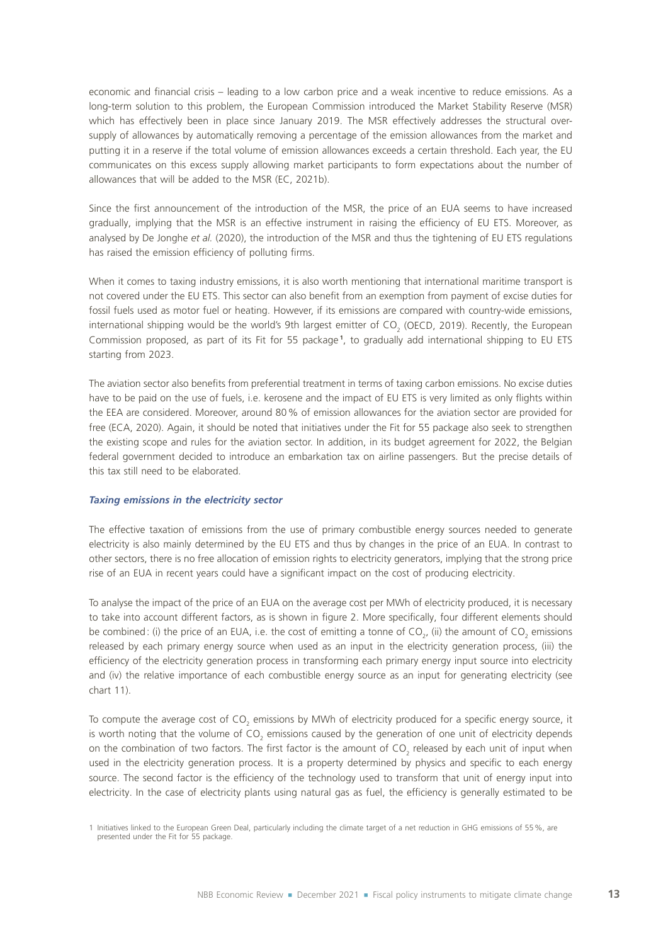economic and financial crisis – leading to a low carbon price and a weak incentive to reduce emissions. As a long-term solution to this problem, the European Commission introduced the Market Stability Reserve (MSR) which has effectively been in place since January 2019. The MSR effectively addresses the structural oversupply of allowances by automatically removing a percentage of the emission allowances from the market and putting it in a reserve if the total volume of emission allowances exceeds a certain threshold. Each year, the EU communicates on this excess supply allowing market participants to form expectations about the number of allowances that will be added to the MSR (EC, 2021b).

Since the first announcement of the introduction of the MSR, the price of an EUA seems to have increased gradually, implying that the MSR is an effective instrument in raising the efficiency of EU ETS. Moreover, as analysed by De Jonghe *et al.* (2020), the introduction of the MSR and thus the tightening of EU ETS regulations has raised the emission efficiency of polluting firms.

When it comes to taxing industry emissions, it is also worth mentioning that international maritime transport is not covered under the EU ETS. This sector can also benefit from an exemption from payment of excise duties for fossil fuels used as motor fuel or heating. However, if its emissions are compared with country-wide emissions, international shipping would be the world's 9th largest emitter of CO<sub>2</sub> (OECD, 2019). Recently, the European Commission proposed, as part of its Fit for 55 package **<sup>1</sup>** , to gradually add international shipping to EU ETS starting from 2023.

The aviation sector also benefits from preferential treatment in terms of taxing carbon emissions. No excise duties have to be paid on the use of fuels, i.e. kerosene and the impact of EU ETS is very limited as only flights within the EEA are considered. Moreover, around 80% of emission allowances for the aviation sector are provided for free (ECA, 2020). Again, it should be noted that initiatives under the Fit for 55 package also seek to strengthen the existing scope and rules for the aviation sector. In addition, in its budget agreement for 2022, the Belgian federal government decided to introduce an embarkation tax on airline passengers. But the precise details of this tax still need to be elaborated.

#### *Taxing emissions in the electricity sector*

The effective taxation of emissions from the use of primary combustible energy sources needed to generate electricity is also mainly determined by the EU ETS and thus by changes in the price of an EUA. In contrast to other sectors, there is no free allocation of emission rights to electricity generators, implying that the strong price rise of an EUA in recent years could have a significant impact on the cost of producing electricity.

To analyse the impact of the price of an EUA on the average cost per MWh of electricity produced, it is necessary to take into account different factors, as is shown in figure 2. More specifically, four different elements should be combined: (i) the price of an EUA, i.e. the cost of emitting a tonne of CO<sub>2</sub>, (ii) the amount of CO<sub>2</sub> emissions released by each primary energy source when used as an input in the electricity generation process, (iii) the efficiency of the electricity generation process in transforming each primary energy input source into electricity and (iv) the relative importance of each combustible energy source as an input for generating electricity (see chart 11).

To compute the average cost of CO<sub>2</sub> emissions by MWh of electricity produced for a specific energy source, it is worth noting that the volume of CO<sub>2</sub> emissions caused by the generation of one unit of electricity depends on the combination of two factors. The first factor is the amount of CO<sub>2</sub> released by each unit of input when used in the electricity generation process. It is a property determined by physics and specific to each energy source. The second factor is the efficiency of the technology used to transform that unit of energy input into electricity. In the case of electricity plants using natural gas as fuel, the efficiency is generally estimated to be

<sup>1</sup> Initiatives linked to the European Green Deal, particularly including the climate target of a net reduction in GHG emissions of 55%, are presented under the Fit for 55 package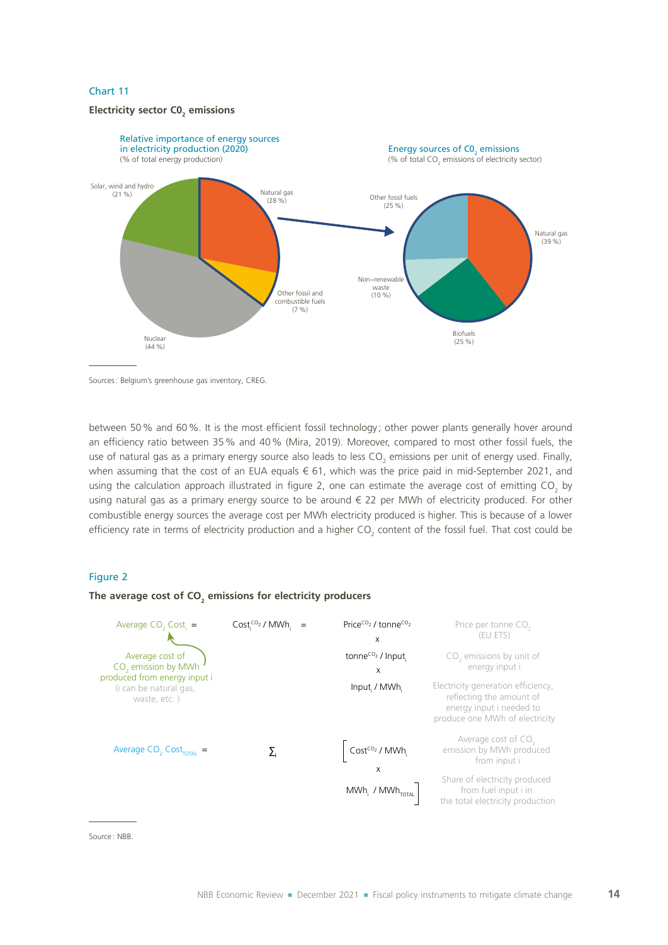# **Electricity sector C0<sup>2</sup> emissions**



Sources: Belgium's greenhouse gas inventory, CREG.

between 50% and 60%. It is the most efficient fossil technology ; other power plants generally hover around an efficiency ratio between 35% and 40% (Mira, 2019). Moreover, compared to most other fossil fuels, the use of natural gas as a primary energy source also leads to less CO<sub>2</sub> emissions per unit of energy used. Finally, when assuming that the cost of an EUA equals € 61, which was the price paid in mid-September 2021, and using the calculation approach illustrated in figure 2, one can estimate the average cost of emitting CO<sub>2</sub> by using natural gas as a primary energy source to be around € 22 per MWh of electricity produced. For other combustible energy sources the average cost per MWh electricity produced is higher. This is because of a lower efficiency rate in terms of electricity production and a higher CO<sub>2</sub> content of the fossil fuel. That cost could be

### Figure 2

### **The average cost of CO<sup>2</sup> emissions for electricity producers**

| Average $CO$ , $Cost$ =                                                                                                      | $Cost1CO2 / MWh1 =$ | Price <sup>co<sub>2</sub> / tonne<sup>co<sub>2</sub></sup></sup><br>X | Price per tonne CO <sub>2</sub><br>(EU ETS)                                                                                  |
|------------------------------------------------------------------------------------------------------------------------------|---------------------|-----------------------------------------------------------------------|------------------------------------------------------------------------------------------------------------------------------|
| Average cost of<br>CO <sub>2</sub> emission by MWh<br>produced from energy input i<br>(i can be natural gas,<br>waste, etc.) |                     | tonne <sup>co<sub>2</sub> / Input.</sup><br>x                         | CO <sub>2</sub> emissions by unit of<br>energy input i                                                                       |
|                                                                                                                              |                     | Input / MWh.                                                          | Electricity generation efficiency,<br>reflecting the amount of<br>energy input i needed to<br>produce one MWh of electricity |
| Average $CO$ , $Cost_{\text{total}}$ =                                                                                       |                     | Cost <sup>co<sub>2</sub></sup> / MWh.<br>x                            | Average cost of CO <sub>2</sub><br>emission by MWh produced<br>from input i                                                  |
|                                                                                                                              |                     | $MWh_i$ / $MWh_{\text{total}}$                                        | Share of electricity produced<br>from fuel input i in<br>the total electricity production                                    |

Source : NBB.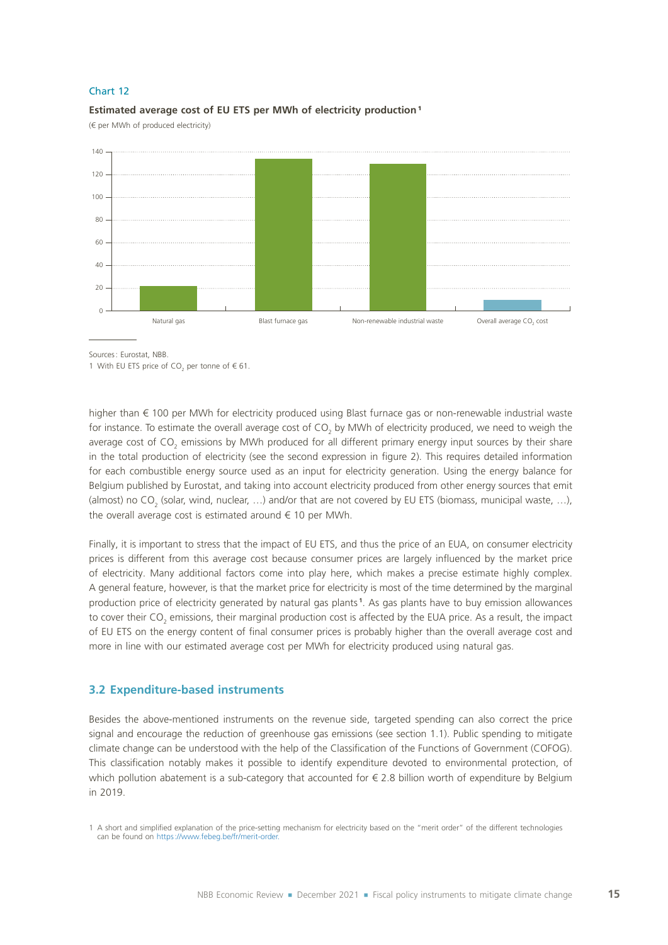

#### **Estimated average cost of EU ETS per MWh of electricity production** <sup>1</sup>

(€ per MWh of produced electricity)

Sources: Eurostat, NBB.

1 With EU ETS price of  $CO<sub>2</sub>$  per tonne of  $\epsilon$  61.

higher than € 100 per MWh for electricity produced using Blast furnace gas or non-renewable industrial waste for instance. To estimate the overall average cost of CO<sub>2</sub> by MWh of electricity produced, we need to weigh the average cost of CO<sub>2</sub> emissions by MWh produced for all different primary energy input sources by their share in the total production of electricity (see the second expression in figure 2). This requires detailed information for each combustible energy source used as an input for electricity generation. Using the energy balance for Belgium published by Eurostat, and taking into account electricity produced from other energy sources that emit (almost) no CO<sub>2</sub> (solar, wind, nuclear, ...) and/or that are not covered by EU ETS (biomass, municipal waste, ...), the overall average cost is estimated around  $\epsilon$  10 per MWh.

Finally, it is important to stress that the impact of EU ETS, and thus the price of an EUA, on consumer electricity prices is different from this average cost because consumer prices are largely influenced by the market price of electricity. Many additional factors come into play here, which makes a precise estimate highly complex. A general feature, however, is that the market price for electricity is most of the time determined by the marginal production price of electricity generated by natural gas plants **<sup>1</sup>** . As gas plants have to buy emission allowances to cover their CO<sub>2</sub> emissions, their marginal production cost is affected by the EUA price. As a result, the impact of EU ETS on the energy content of final consumer prices is probably higher than the overall average cost and more in line with our estimated average cost per MWh for electricity produced using natural gas.

### **3.2 Expenditure-based instruments**

Besides the above-mentioned instruments on the revenue side, targeted spending can also correct the price signal and encourage the reduction of greenhouse gas emissions (see section 1.1). Public spending to mitigate climate change can be understood with the help of the Classification of the Functions of Government (COFOG). This classification notably makes it possible to identify expenditure devoted to environmental protection, of which pollution abatement is a sub-category that accounted for  $\epsilon$  2.8 billion worth of expenditure by Belgium in 2019.

<sup>1</sup> A short and simplified explanation of the price-setting mechanism for electricity based on the "merit order" of the different technologies can be found on [https://www.febeg.be/fr/merit-order.](https://www.febeg.be/fr/merit-order)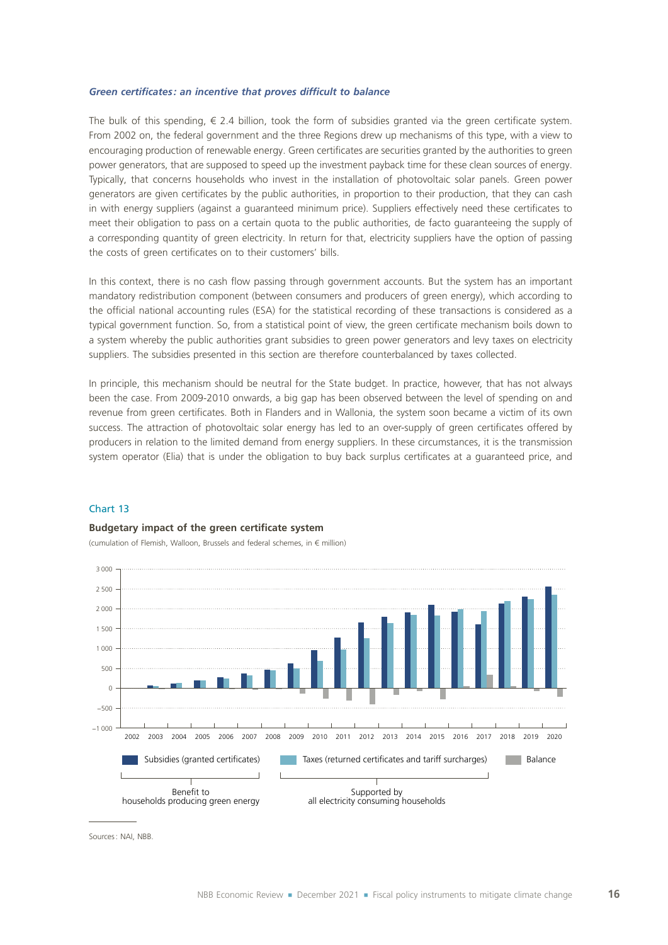### *Green certificates : an incentive that proves difficult to balance*

The bulk of this spending,  $\epsilon$  2.4 billion, took the form of subsidies granted via the green certificate system. From 2002 on, the federal government and the three Regions drew up mechanisms of this type, with a view to encouraging production of renewable energy. Green certificates are securities granted by the authorities to green power generators, that are supposed to speed up the investment payback time for these clean sources of energy. Typically, that concerns households who invest in the installation of photovoltaic solar panels. Green power generators are given certificates by the public authorities, in proportion to their production, that they can cash in with energy suppliers (against a guaranteed minimum price). Suppliers effectively need these certificates to meet their obligation to pass on a certain quota to the public authorities, de facto guaranteeing the supply of a corresponding quantity of green electricity. In return for that, electricity suppliers have the option of passing the costs of green certificates on to their customers' bills.

In this context, there is no cash flow passing through government accounts. But the system has an important mandatory redistribution component (between consumers and producers of green energy), which according to the official national accounting rules (ESA) for the statistical recording of these transactions is considered as a typical government function. So, from a statistical point of view, the green certificate mechanism boils down to a system whereby the public authorities grant subsidies to green power generators and levy taxes on electricity suppliers. The subsidies presented in this section are therefore counterbalanced by taxes collected.

In principle, this mechanism should be neutral for the State budget. In practice, however, that has not always been the case. From 2009-2010 onwards, a big gap has been observed between the level of spending on and revenue from green certificates. Both in Flanders and in Wallonia, the system soon became a victim of its own success. The attraction of photovoltaic solar energy has led to an over-supply of green certificates offered by producers in relation to the limited demand from energy suppliers. In these circumstances, it is the transmission system operator (Elia) that is under the obligation to buy back surplus certificates at a guaranteed price, and

### Chart 13

### **Budgetary impact of the green certificate system**

(cumulation of Flemish, Walloon, Brussels and federal schemes, in € million)



Sources: NAI, NBB.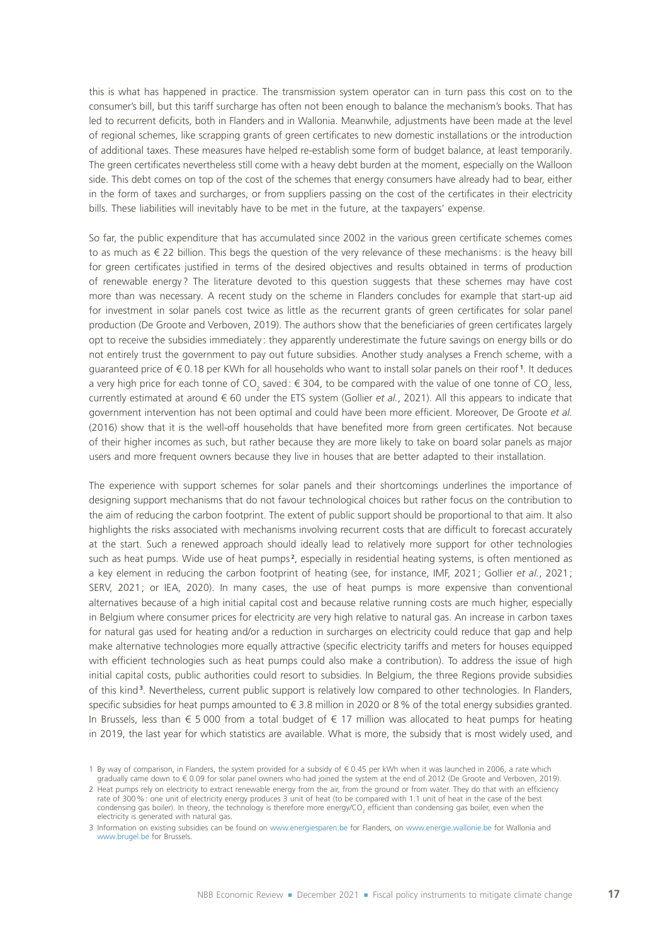this is what has happened in practice. The transmission system operator can in turn pass this cost on to the consumer's bill, but this tariff surcharge has often not been enough to balance the mechanism's books. That has led to recurrent deficits, both in Flanders and in Wallonia. Meanwhile, adjustments have been made at the level of regional schemes, like scrapping grants of green certificates to new domestic installations or the introduction of additional taxes. These measures have helped re-establish some form of budget balance, at least temporarily. The green certificates nevertheless still come with a heavy debt burden at the moment, especially on the Walloon side. This debt comes on top of the cost of the schemes that energy consumers have already had to bear, either in the form of taxes and surcharges, or from suppliers passing on the cost of the certificates in their electricity bills. These liabilities will inevitably have to be met in the future, at the taxpayers' expense.

So far, the public expenditure that has accumulated since 2002 in the various green certificate schemes comes to as much as € 22 billion. This begs the question of the very relevance of these mechanisms: is the heavy bill for green certificates justified in terms of the desired objectives and results obtained in terms of production of renewable energy? The literature devoted to this question suggests that these schemes may have cost more than was necessary. A recent study on the scheme in Flanders concludes for example that start-up aid for investment in solar panels cost twice as little as the recurrent grants of green certificates for solar panel production (De Groote and Verboven, 2019). The authors show that the beneficiaries of green certificates largely opt to receive the subsidies immediately : they apparently underestimate the future savings on energy bills or do not entirely trust the government to pay out future subsidies. Another study analyses a French scheme, with a guaranteed price of € 0.18 per KWh for all households who want to install solar panels on their roof **<sup>1</sup>** . It deduces a very high price for each tonne of CO<sub>2</sub> saved:  $\in$  304, to be compared with the value of one tonne of CO<sub>2</sub> less, currently estimated at around € 60 under the ETS system (Gollier *et al.*, 2021). All this appears to indicate that government intervention has not been optimal and could have been more efficient. Moreover, De Groote *et al.* (2016) show that it is the well-off households that have benefited more from green certificates. Not because of their higher incomes as such, but rather because they are more likely to take on board solar panels as major users and more frequent owners because they live in houses that are better adapted to their installation.

The experience with support schemes for solar panels and their shortcomings underlines the importance of designing support mechanisms that do not favour technological choices but rather focus on the contribution to the aim of reducing the carbon footprint. The extent of public support should be proportional to that aim. It also highlights the risks associated with mechanisms involving recurrent costs that are difficult to forecast accurately at the start. Such a renewed approach should ideally lead to relatively more support for other technologies such as heat pumps. Wide use of heat pumps<sup>2</sup>, especially in residential heating systems, is often mentioned as a key element in reducing the carbon footprint of heating (see, for instance, IMF, 2021; Gollier *et al.*, 2021; SERV, 2021; or IEA, 2020). In many cases, the use of heat pumps is more expensive than conventional alternatives because of a high initial capital cost and because relative running costs are much higher, especially in Belgium where consumer prices for electricity are very high relative to natural gas. An increase in carbon taxes for natural gas used for heating and/or a reduction in surcharges on electricity could reduce that gap and help make alternative technologies more equally attractive (specific electricity tariffs and meters for houses equipped with efficient technologies such as heat pumps could also make a contribution). To address the issue of high initial capital costs, public authorities could resort to subsidies. In Belgium, the three Regions provide subsidies of this kind **<sup>3</sup>** . Nevertheless, current public support is relatively low compared to other technologies. In Flanders, specific subsidies for heat pumps amounted to € 3.8 million in 2020 or 8% of the total energy subsidies granted. In Brussels, less than € 5 000 from a total budget of € 17 million was allocated to heat pumps for heating in 2019, the last year for which statistics are available. What is more, the subsidy that is most widely used, and

<sup>1</sup> By way of comparison, in Flanders, the system provided for a subsidy of € 0.45 per kWh when it was launched in 2006, a rate which gradually came down to € 0.09 for solar panel owners who had joined the system at the end of 2012 (De Groote and Verboven, 2019).

<sup>2</sup> Heat pumps rely on electricity to extract renewable energy from the air, from the ground or from water. They do that with an efficiency rate of 300%: one unit of electricity energy produces 3 unit of heat (to be compared with 1.1 unit of heat in the case of the best condensing gas boiler). In theory, the technology is therefore more energy/CO<sub>2</sub> efficient than condensing gas boiler, even when the electricity is generated with natural gas.

<sup>3</sup> Information on existing subsidies can be found on [www.energiesparen.be](https://www.energiesparen.be) for Flanders, on [www.energie.wallonie.be](https://energie.wallonie.be/fr/index.html?IDC=6018) for Wallonia and [www.brugel.be for Brussels.](https://www.brugel.brussels/)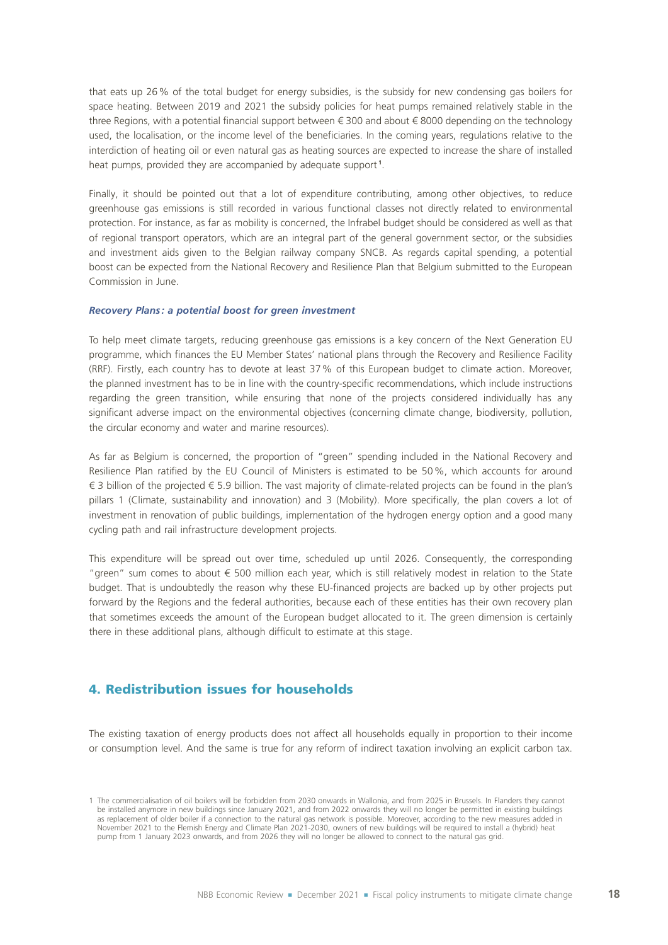that eats up 26% of the total budget for energy subsidies, is the subsidy for new condensing gas boilers for space heating. Between 2019 and 2021 the subsidy policies for heat pumps remained relatively stable in the three Regions, with a potential financial support between € 300 and about € 8000 depending on the technology used, the localisation, or the income level of the beneficiaries. In the coming years, regulations relative to the interdiction of heating oil or even natural gas as heating sources are expected to increase the share of installed heat pumps, provided they are accompanied by adequate support **<sup>1</sup>** .

Finally, it should be pointed out that a lot of expenditure contributing, among other objectives, to reduce greenhouse gas emissions is still recorded in various functional classes not directly related to environmental protection. For instance, as far as mobility is concerned, the Infrabel budget should be considered as well as that of regional transport operators, which are an integral part of the general government sector, or the subsidies and investment aids given to the Belgian railway company SNCB. As regards capital spending, a potential boost can be expected from the National Recovery and Resilience Plan that Belgium submitted to the European Commission in June.

#### *Recovery Plans : a potential boost for green investment*

To help meet climate targets, reducing greenhouse gas emissions is a key concern of the Next Generation EU programme, which finances the EU Member States' national plans through the Recovery and Resilience Facility (RRF). Firstly, each country has to devote at least 37% of this European budget to climate action. Moreover, the planned investment has to be in line with the country-specific recommendations, which include instructions regarding the green transition, while ensuring that none of the projects considered individually has any significant adverse impact on the environmental objectives (concerning climate change, biodiversity, pollution, the circular economy and water and marine resources).

As far as Belgium is concerned, the proportion of "green" spending included in the National Recovery and Resilience Plan ratified by the EU Council of Ministers is estimated to be 50%, which accounts for around € 3 billion of the projected € 5.9 billion. The vast majority of climate-related projects can be found in the plan's pillars 1 (Climate, sustainability and innovation) and 3 (Mobility). More specifically, the plan covers a lot of investment in renovation of public buildings, implementation of the hydrogen energy option and a good many cycling path and rail infrastructure development projects.

This expenditure will be spread out over time, scheduled up until 2026. Consequently, the corresponding "green" sum comes to about € 500 million each year, which is still relatively modest in relation to the State budget. That is undoubtedly the reason why these EU-financed projects are backed up by other projects put forward by the Regions and the federal authorities, because each of these entities has their own recovery plan that sometimes exceeds the amount of the European budget allocated to it. The green dimension is certainly there in these additional plans, although difficult to estimate at this stage.

# 4. Redistribution issues for households

The existing taxation of energy products does not affect all households equally in proportion to their income or consumption level. And the same is true for any reform of indirect taxation involving an explicit carbon tax.

<sup>1</sup> The commercialisation of oil boilers will be forbidden from 2030 onwards in Wallonia, and from 2025 in Brussels. In Flanders they cannot be installed anymore in new buildings since January 2021, and from 2022 onwards they will no longer be permitted in existing buildings as replacement of older boiler if a connection to the natural gas network is possible. Moreover, according to the new measures added in November 2021 to the Flemish Energy and Climate Plan 2021-2030, owners of new buildings will be required to install a (hybrid) heat pump from 1 January 2023 onwards, and from 2026 they will no longer be allowed to connect to the natural gas grid.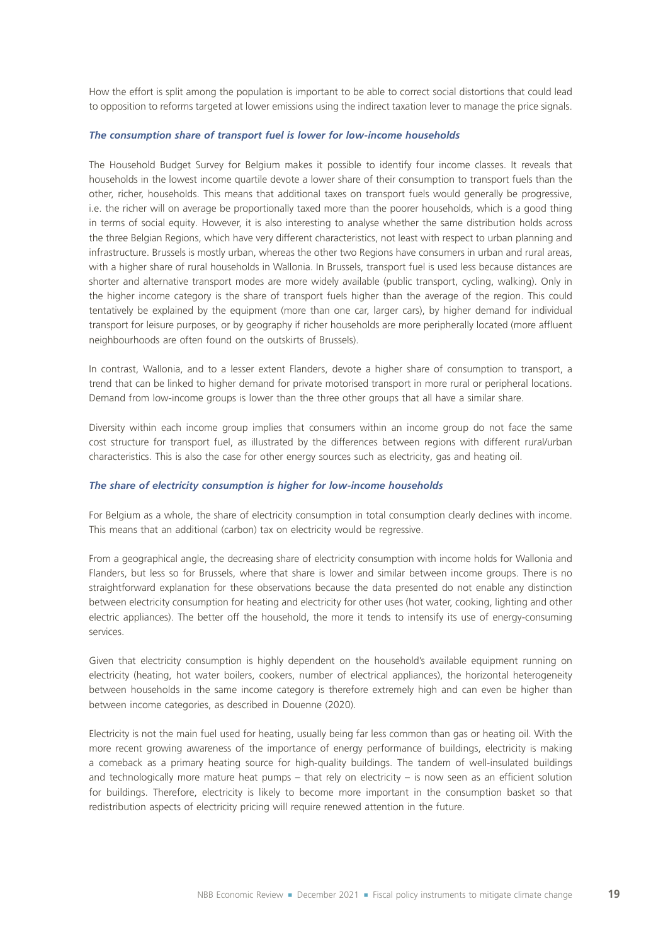How the effort is split among the population is important to be able to correct social distortions that could lead to opposition to reforms targeted at lower emissions using the indirect taxation lever to manage the price signals.

#### *The consumption share of transport fuel is lower for low-income households*

The Household Budget Survey for Belgium makes it possible to identify four income classes. It reveals that households in the lowest income quartile devote a lower share of their consumption to transport fuels than the other, richer, households. This means that additional taxes on transport fuels would generally be progressive, i.e. the richer will on average be proportionally taxed more than the poorer households, which is a good thing in terms of social equity. However, it is also interesting to analyse whether the same distribution holds across the three Belgian Regions, which have very different characteristics, not least with respect to urban planning and infrastructure. Brussels is mostly urban, whereas the other two Regions have consumers in urban and rural areas, with a higher share of rural households in Wallonia. In Brussels, transport fuel is used less because distances are shorter and alternative transport modes are more widely available (public transport, cycling, walking). Only in the higher income category is the share of transport fuels higher than the average of the region. This could tentatively be explained by the equipment (more than one car, larger cars), by higher demand for individual transport for leisure purposes, or by geography if richer households are more peripherally located (more affluent neighbourhoods are often found on the outskirts of Brussels).

In contrast, Wallonia, and to a lesser extent Flanders, devote a higher share of consumption to transport, a trend that can be linked to higher demand for private motorised transport in more rural or peripheral locations. Demand from low-income groups is lower than the three other groups that all have a similar share.

Diversity within each income group implies that consumers within an income group do not face the same cost structure for transport fuel, as illustrated by the differences between regions with different rural/urban characteristics. This is also the case for other energy sources such as electricity, gas and heating oil.

### *The share of electricity consumption is higher for low-income households*

For Belgium as a whole, the share of electricity consumption in total consumption clearly declines with income. This means that an additional (carbon) tax on electricity would be regressive.

From a geographical angle, the decreasing share of electricity consumption with income holds for Wallonia and Flanders, but less so for Brussels, where that share is lower and similar between income groups. There is no straightforward explanation for these observations because the data presented do not enable any distinction between electricity consumption for heating and electricity for other uses (hot water, cooking, lighting and other electric appliances). The better off the household, the more it tends to intensify its use of energy-consuming services.

Given that electricity consumption is highly dependent on the household's available equipment running on electricity (heating, hot water boilers, cookers, number of electrical appliances), the horizontal heterogeneity between households in the same income category is therefore extremely high and can even be higher than between income categories, as described in Douenne (2020).

Electricity is not the main fuel used for heating, usually being far less common than gas or heating oil. With the more recent growing awareness of the importance of energy performance of buildings, electricity is making a comeback as a primary heating source for high-quality buildings. The tandem of well-insulated buildings and technologically more mature heat pumps – that rely on electricity – is now seen as an efficient solution for buildings. Therefore, electricity is likely to become more important in the consumption basket so that redistribution aspects of electricity pricing will require renewed attention in the future.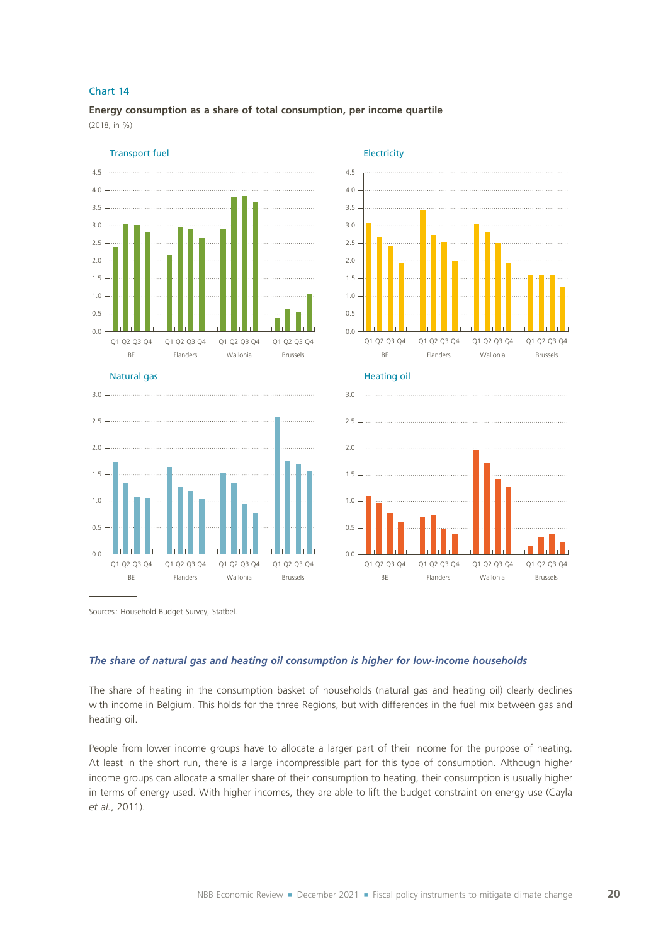**Energy consumption as a share of total consumption, per income quartile** (2018, in %)



Natural gas





**Electricity** 

 $0.0$ 0.5 1.0 1.5 BE Flanders Wallonia Brussels BE Flanders Wallonia Brussels Q1 Q2 Q3 Q4 Q1 Q2 Q3 Q4 Q1 Q2 Q3 Q4 Q1 Q2 Q3 Q4

Sources: Household Budget Survey, Statbel.

### *The share of natural gas and heating oil consumption is higher for low-income households*

The share of heating in the consumption basket of households (natural gas and heating oil) clearly declines with income in Belgium. This holds for the three Regions, but with differences in the fuel mix between gas and heating oil.

People from lower income groups have to allocate a larger part of their income for the purpose of heating. At least in the short run, there is a large incompressible part for this type of consumption. Although higher income groups can allocate a smaller share of their consumption to heating, their consumption is usually higher in terms of energy used. With higher incomes, they are able to lift the budget constraint on energy use (Cayla *et al.*, 2011).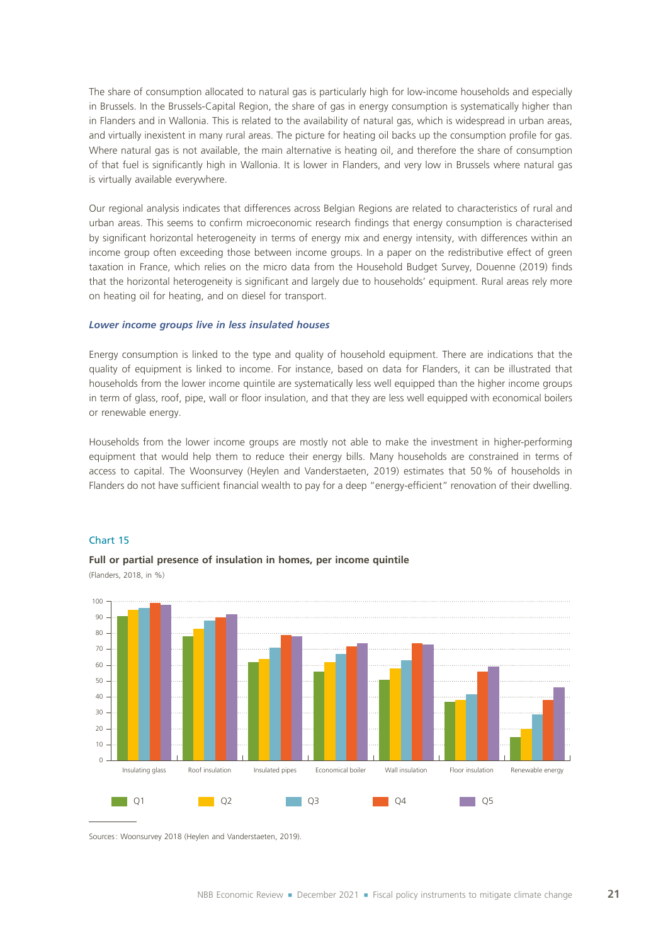The share of consumption allocated to natural gas is particularly high for low-income households and especially in Brussels. In the Brussels-Capital Region, the share of gas in energy consumption is systematically higher than in Flanders and in Wallonia. This is related to the availability of natural gas, which is widespread in urban areas, and virtually inexistent in many rural areas. The picture for heating oil backs up the consumption profile for gas. Where natural gas is not available, the main alternative is heating oil, and therefore the share of consumption of that fuel is significantly high in Wallonia. It is lower in Flanders, and very low in Brussels where natural gas is virtually available everywhere.

Our regional analysis indicates that differences across Belgian Regions are related to characteristics of rural and urban areas. This seems to confirm microeconomic research findings that energy consumption is characterised by significant horizontal heterogeneity in terms of energy mix and energy intensity, with differences within an income group often exceeding those between income groups. In a paper on the redistributive effect of green taxation in France, which relies on the micro data from the Household Budget Survey, Douenne (2019) finds that the horizontal heterogeneity is significant and largely due to households' equipment. Rural areas rely more on heating oil for heating, and on diesel for transport.

### *Lower income groups live in less insulated houses*

Energy consumption is linked to the type and quality of household equipment. There are indications that the quality of equipment is linked to income. For instance, based on data for Flanders, it can be illustrated that households from the lower income quintile are systematically less well equipped than the higher income groups in term of glass, roof, pipe, wall or floor insulation, and that they are less well equipped with economical boilers or renewable energy.

Households from the lower income groups are mostly not able to make the investment in higher-performing equipment that would help them to reduce their energy bills. Many households are constrained in terms of access to capital. The Woonsurvey (Heylen and Vanderstaeten, 2019) estimates that 50% of households in Flanders do not have sufficient financial wealth to pay for a deep "energy-efficient" renovation of their dwelling.





### **Full or partial presence of insulation in homes, per income quintile**

(Flanders, 2018, in %)

Sources: Woonsurvey 2018 (Heylen and Vanderstaeten, 2019).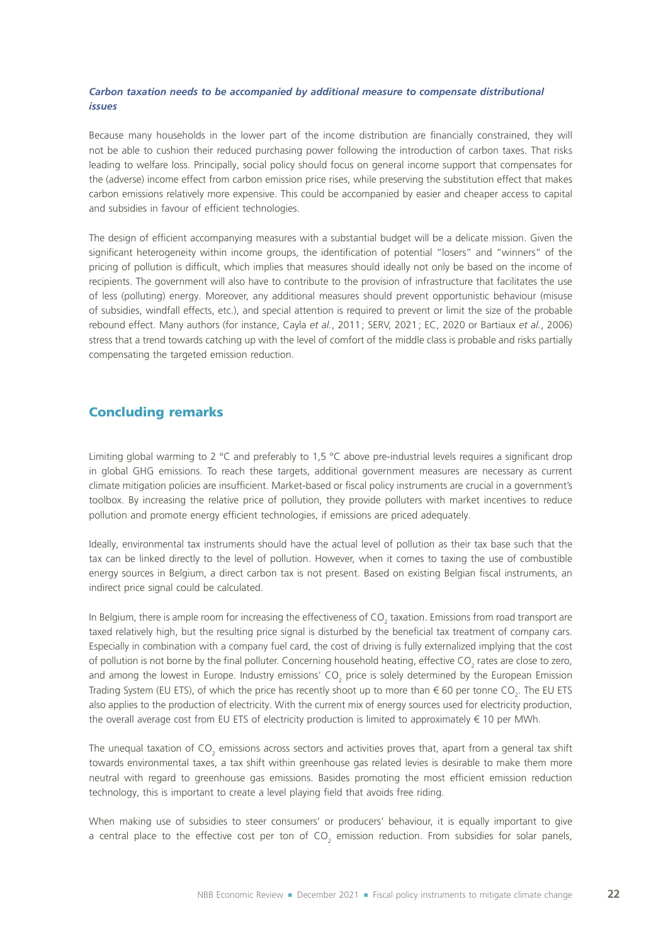# *Carbon taxation needs to be accompanied by additional measure to compensate distributional issues*

Because many households in the lower part of the income distribution are financially constrained, they will not be able to cushion their reduced purchasing power following the introduction of carbon taxes. That risks leading to welfare loss. Principally, social policy should focus on general income support that compensates for the (adverse) income effect from carbon emission price rises, while preserving the substitution effect that makes carbon emissions relatively more expensive. This could be accompanied by easier and cheaper access to capital and subsidies in favour of efficient technologies.

The design of efficient accompanying measures with a substantial budget will be a delicate mission. Given the significant heterogeneity within income groups, the identification of potential "losers" and "winners" of the pricing of pollution is difficult, which implies that measures should ideally not only be based on the income of recipients. The government will also have to contribute to the provision of infrastructure that facilitates the use of less (polluting) energy. Moreover, any additional measures should prevent opportunistic behaviour (misuse of subsidies, windfall effects, etc.), and special attention is required to prevent or limit the size of the probable rebound effect. Many authors (for instance, Cayla *et al.*, 2011; SERV, 2021; EC, 2020 or Bartiaux *et al.*, 2006) stress that a trend towards catching up with the level of comfort of the middle class is probable and risks partially compensating the targeted emission reduction.

# Concluding remarks

Limiting global warming to 2 °C and preferably to 1,5 °C above pre-industrial levels requires a significant drop in global GHG emissions. To reach these targets, additional government measures are necessary as current climate mitigation policies are insufficient. Market-based or fiscal policy instruments are crucial in a government's toolbox. By increasing the relative price of pollution, they provide polluters with market incentives to reduce pollution and promote energy efficient technologies, if emissions are priced adequately.

Ideally, environmental tax instruments should have the actual level of pollution as their tax base such that the tax can be linked directly to the level of pollution. However, when it comes to taxing the use of combustible energy sources in Belgium, a direct carbon tax is not present. Based on existing Belgian fiscal instruments, an indirect price signal could be calculated.

In Belgium, there is ample room for increasing the effectiveness of CO<sub>2</sub> taxation. Emissions from road transport are taxed relatively high, but the resulting price signal is disturbed by the beneficial tax treatment of company cars. Especially in combination with a company fuel card, the cost of driving is fully externalized implying that the cost of pollution is not borne by the final polluter. Concerning household heating, effective CO<sub>2</sub> rates are close to zero, and among the lowest in Europe. Industry emissions' CO<sub>2</sub> price is solely determined by the European Emission Trading System (EU ETS), of which the price has recently shoot up to more than  $\in$  60 per tonne CO<sub>2</sub>. The EU ETS also applies to the production of electricity. With the current mix of energy sources used for electricity production, the overall average cost from EU ETS of electricity production is limited to approximately € 10 per MWh.

The unequal taxation of CO<sub>2</sub> emissions across sectors and activities proves that, apart from a general tax shift towards environmental taxes, a tax shift within greenhouse gas related levies is desirable to make them more neutral with regard to greenhouse gas emissions. Basides promoting the most efficient emission reduction technology, this is important to create a level playing field that avoids free riding.

When making use of subsidies to steer consumers' or producers' behaviour, it is equally important to give a central place to the effective cost per ton of CO<sub>2</sub> emission reduction. From subsidies for solar panels,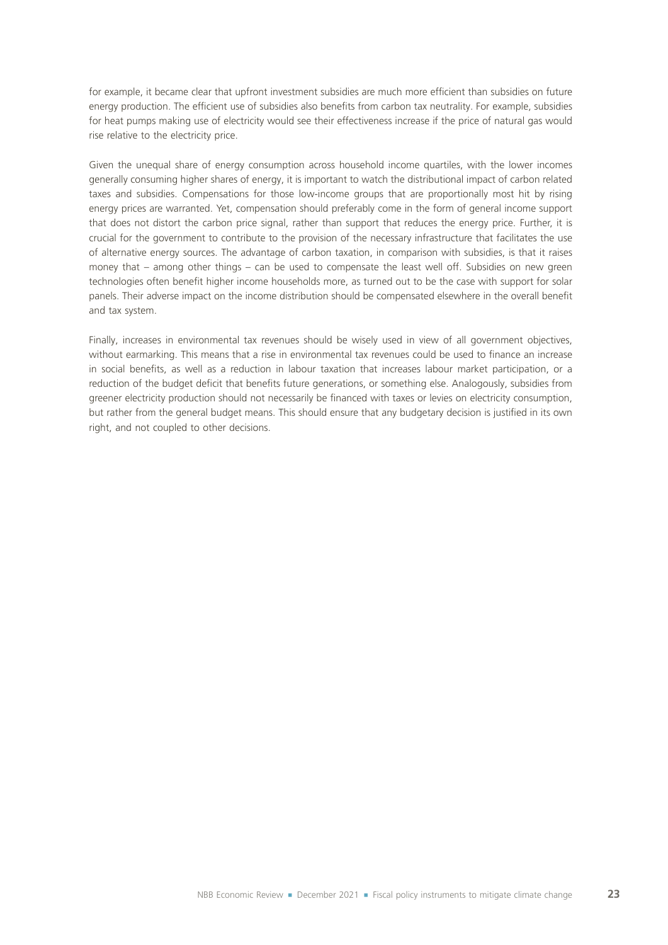for example, it became clear that upfront investment subsidies are much more efficient than subsidies on future energy production. The efficient use of subsidies also benefits from carbon tax neutrality. For example, subsidies for heat pumps making use of electricity would see their effectiveness increase if the price of natural gas would rise relative to the electricity price.

Given the unequal share of energy consumption across household income quartiles, with the lower incomes generally consuming higher shares of energy, it is important to watch the distributional impact of carbon related taxes and subsidies. Compensations for those low-income groups that are proportionally most hit by rising energy prices are warranted. Yet, compensation should preferably come in the form of general income support that does not distort the carbon price signal, rather than support that reduces the energy price. Further, it is crucial for the government to contribute to the provision of the necessary infrastructure that facilitates the use of alternative energy sources. The advantage of carbon taxation, in comparison with subsidies, is that it raises money that – among other things – can be used to compensate the least well off. Subsidies on new green technologies often benefit higher income households more, as turned out to be the case with support for solar panels. Their adverse impact on the income distribution should be compensated elsewhere in the overall benefit and tax system.

Finally, increases in environmental tax revenues should be wisely used in view of all government objectives, without earmarking. This means that a rise in environmental tax revenues could be used to finance an increase in social benefits, as well as a reduction in labour taxation that increases labour market participation, or a reduction of the budget deficit that benefits future generations, or something else. Analogously, subsidies from greener electricity production should not necessarily be financed with taxes or levies on electricity consumption, but rather from the general budget means. This should ensure that any budgetary decision is justified in its own right, and not coupled to other decisions.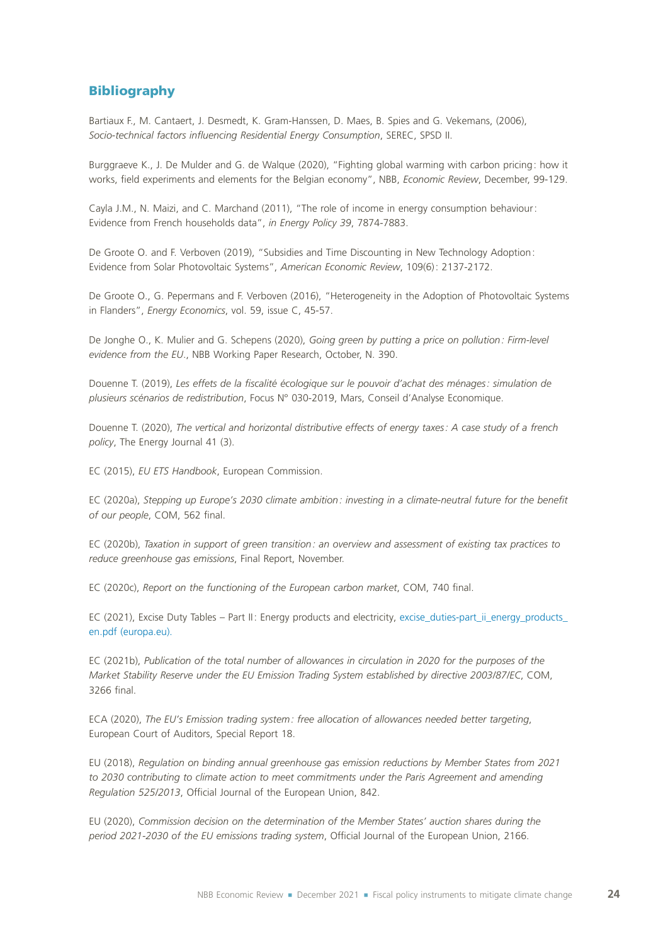# Bibliography

Bartiaux F., M. Cantaert, J. Desmedt, K. Gram-Hanssen, D. Maes, B. Spies and G. Vekemans, (2006), *Socio-technical factors influencing Residential Energy Consumption*, SEREC, SPSD II.

Burggraeve K., J. De Mulder and G. de Walque (2020), "Fighting global warming with carbon pricing: how it works, field experiments and elements for the Belgian economy", NBB, *Economic Review*, December, 99-129.

Cayla J.M., N. Maizi, and C. Marchand (2011), "The role of income in energy consumption behaviour: Evidence from French households data", *in Energy Policy 39*, 7874-7883.

De Groote O. and F. Verboven (2019), "Subsidies and Time Discounting in New Technology Adoption: Evidence from Solar Photovoltaic Systems", *American Economic Review*, 109(6): 2137-2172.

De Groote O., G. Pepermans and F. Verboven (2016), "Heterogeneity in the Adoption of Photovoltaic Systems in Flanders", *Energy Economics*, vol. 59, issue C, 45-57.

De Jonghe O., K. Mulier and G. Schepens (2020), *Going green by putting a price on pollution: Firm-level evidence from the EU*., NBB Working Paper Research, October, N. 390.

Douenne T. (2019), *Les effets de la fiscalité écologique sur le pouvoir d'achat des ménages: simulation de plusieurs scénarios de redistribution*, Focus N° 030-2019, Mars, Conseil d'Analyse Economique.

Douenne T. (2020), *The vertical and horizontal distributive effects of energy taxes: A case study of a french policy*, The Energy Journal 41 (3).

EC (2015), *EU ETS Handbook*, European Commission.

EC (2020a), *Stepping up Europe's 2030 climate ambition: investing in a climate-neutral future for the benefit of our people*, COM, 562 final.

EC (2020b), *Taxation in support of green transition: an overview and assessment of existing tax practices to reduce greenhouse gas emissions*, Final Report, November.

EC (2020c), *Report on the functioning of the European carbon market*, COM, 740 final.

EC (2021), Excise Duty Tables – Part II: Energy products and electricity, [excise\\_duties-part\\_ii\\_energy\\_products\\_](https://ec.europa.eu/taxation_customs/system/files/2021-09/excise_duties-part_ii_energy_products_en.pdf) [en.pdf \(europa.eu\).](https://ec.europa.eu/taxation_customs/system/files/2021-09/excise_duties-part_ii_energy_products_en.pdf)

EC (2021b), *Publication of the total number of allowances in circulation in 2020 for the purposes of the Market Stability Reserve under the EU Emission Trading System established by directive 2003/87/EC*, COM, 3266 final.

ECA (2020), *The EU's Emission trading system: free allocation of allowances needed better targeting*, European Court of Auditors, Special Report 18.

EU (2018), *Regulation on binding annual greenhouse gas emission reductions by Member States from 2021*  to 2030 contributing to climate action to meet commitments under the Paris Agreement and amending *Regulation 525/2013*, Official Journal of the European Union, 842.

EU (2020), *Commission decision on the determination of the Member States' auction shares during the period 2021-2030 of the EU emissions trading system*, Official Journal of the European Union, 2166.